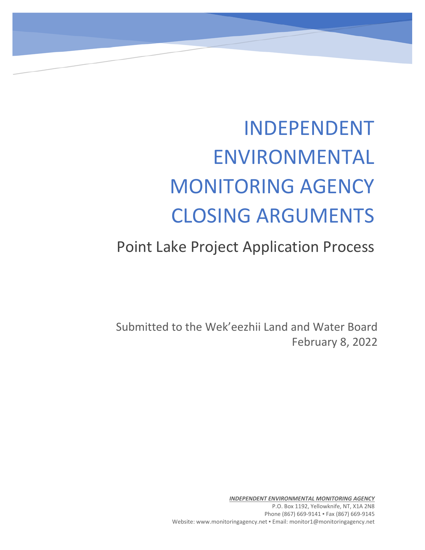# INDEPENDENT ENVIRONMENTAL MONITORING AGENCY CLOSING ARGUMENTS

# Point Lake Project Application Process

Submitted to the Wek'eezhii Land and Water Board February 8, 2022

> *INDEPENDENT ENVIRONMENTAL MONITORING AGENCY* P.O. Box 1192, Yellowknife, NT, X1A 2N8 Phone (867) 669-9141 · Fax (867) 669-9145 Website: www.monitoringagency.net . Email: monitor1@monitoringagency.net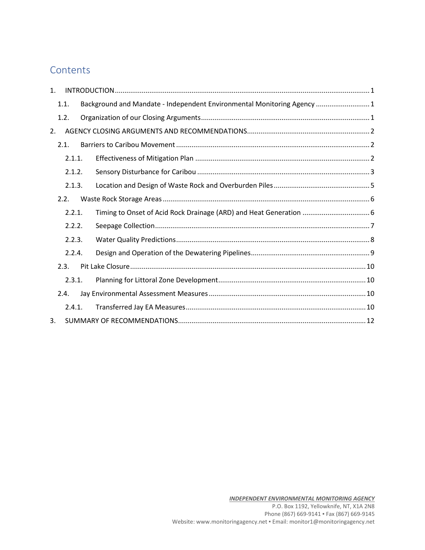# **Contents**

| $\mathbf{1}$ . |        |  |                                                                         |  |
|----------------|--------|--|-------------------------------------------------------------------------|--|
|                | 1.1.   |  | Background and Mandate - Independent Environmental Monitoring Agency  1 |  |
|                | 1.2.   |  |                                                                         |  |
| 2.             |        |  |                                                                         |  |
|                | 2.1.   |  |                                                                         |  |
|                | 2.1.1. |  |                                                                         |  |
| 2.1.2.         |        |  |                                                                         |  |
|                | 2.1.3. |  |                                                                         |  |
|                | 2.2.   |  |                                                                         |  |
|                | 2.2.1. |  |                                                                         |  |
|                | 2.2.2. |  |                                                                         |  |
|                | 2.2.3. |  |                                                                         |  |
|                | 2.2.4. |  |                                                                         |  |
|                | 2.3.   |  |                                                                         |  |
|                | 2.3.1. |  |                                                                         |  |
|                | 2.4.   |  |                                                                         |  |
|                | 2.4.1. |  |                                                                         |  |
| 3.             |        |  |                                                                         |  |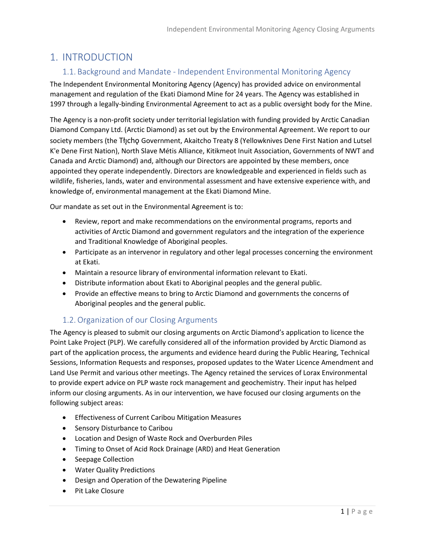# <span id="page-2-1"></span><span id="page-2-0"></span>1. INTRODUCTION

#### 1.1. Background and Mandate - Independent Environmental Monitoring Agency

The Independent Environmental Monitoring Agency (Agency) has provided advice on environmental management and regulation of the Ekati Diamond Mine for 24 years. The Agency was established in 1997 through a legally-binding Environmental Agreement to act as a public oversight body for the Mine.

The Agency is a non-profit society under territorial legislation with funding provided by Arctic Canadian Diamond Company Ltd. (Arctic Diamond) as set out by the Environmental Agreement. We report to our society members (the Tłycho Government, Akaitcho Treaty 8 (Yellowknives Dene First Nation and Lutsel K'e Dene First Nation), North Slave Métis Alliance, Kitikmeot Inuit Association, Governments of NWT and Canada and Arctic Diamond) and, although our Directors are appointed by these members, once appointed they operate independently. Directors are knowledgeable and experienced in fields such as wildlife, fisheries, lands, water and environmental assessment and have extensive experience with, and knowledge of, environmental management at the Ekati Diamond Mine.

Our mandate as set out in the Environmental Agreement is to:

- Review, report and make recommendations on the environmental programs, reports and activities of Arctic Diamond and government regulators and the integration of the experience and Traditional Knowledge of Aboriginal peoples.
- Participate as an intervenor in regulatory and other legal processes concerning the environment at Ekati.
- Maintain a resource library of environmental information relevant to Ekati.
- Distribute information about Ekati to Aboriginal peoples and the general public.
- Provide an effective means to bring to Arctic Diamond and governments the concerns of Aboriginal peoples and the general public.

#### 1.2.Organization of our Closing Arguments

<span id="page-2-2"></span>The Agency is pleased to submit our closing arguments on Arctic Diamond's application to licence the Point Lake Project (PLP). We carefully considered all of the information provided by Arctic Diamond as part of the application process, the arguments and evidence heard during the Public Hearing, Technical Sessions, Information Requests and responses, proposed updates to the Water Licence Amendment and Land Use Permit and various other meetings. The Agency retained the services of Lorax Environmental to provide expert advice on PLP waste rock management and geochemistry. Their input has helped inform our closing arguments. As in our intervention, we have focused our closing arguments on the following subject areas:

- Effectiveness of Current Caribou Mitigation Measures
- Sensory Disturbance to Caribou
- Location and Design of Waste Rock and Overburden Piles
- Timing to Onset of Acid Rock Drainage (ARD) and Heat Generation
- Seepage Collection
- Water Quality Predictions
- Design and Operation of the Dewatering Pipeline
- Pit Lake Closure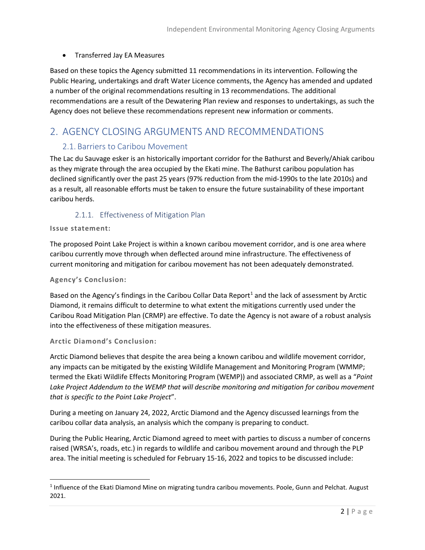#### • Transferred Jay EA Measures

Based on these topics the Agency submitted 11 recommendations in its intervention. Following the Public Hearing, undertakings and draft Water Licence comments, the Agency has amended and updated a number of the original recommendations resulting in 13 recommendations. The additional recommendations are a result of the Dewatering Plan review and responses to undertakings, as such the Agency does not believe these recommendations represent new information or comments.

# <span id="page-3-1"></span><span id="page-3-0"></span>2. AGENCY CLOSING ARGUMENTS AND RECOMMENDATIONS

#### 2.1. Barriers to Caribou Movement

The Lac du Sauvage esker is an historically important corridor for the Bathurst and Beverly/Ahiak caribou as they migrate through the area occupied by the Ekati mine. The Bathurst caribou population has declined significantly over the past 25 years (97% reduction from the mid-1990s to the late 2010s) and as a result, all reasonable efforts must be taken to ensure the future sustainability of these important caribou herds.

#### 2.1.1. Effectiveness of Mitigation Plan

#### <span id="page-3-2"></span>**Issue statement:**

The proposed Point Lake Project is within a known caribou movement corridor, and is one area where caribou currently move through when deflected around mine infrastructure. The effectiveness of current monitoring and mitigation for caribou movement has not been adequately demonstrated.

#### **Agency's Conclusion:**

Based on the Agency's findings in the Caribou Collar Data Report<sup>[1](#page-3-3)</sup> and the lack of assessment by Arctic Diamond, it remains difficult to determine to what extent the mitigations currently used under the Caribou Road Mitigation Plan (CRMP) are effective. To date the Agency is not aware of a robust analysis into the effectiveness of these mitigation measures.

#### **Arctic Diamond's Conclusion:**

Arctic Diamond believes that despite the area being a known caribou and wildlife movement corridor, any impacts can be mitigated by the existing Wildlife Management and Monitoring Program (WMMP; termed the Ekati Wildlife Effects Monitoring Program (WEMP)) and associated CRMP, as well as a "*Point Lake Project Addendum to the WEMP that will describe monitoring and mitigation for caribou movement that is specific to the Point Lake Project*".

During a meeting on January 24, 2022, Arctic Diamond and the Agency discussed learnings from the caribou collar data analysis, an analysis which the company is preparing to conduct.

During the Public Hearing, Arctic Diamond agreed to meet with parties to discuss a number of concerns raised (WRSA's, roads, etc.) in regards to wildlife and caribou movement around and through the PLP area. The initial meeting is scheduled for February 15-16, 2022 and topics to be discussed include:

<span id="page-3-3"></span><sup>1</sup> Influence of the Ekati Diamond Mine on migrating tundra caribou movements. Poole, Gunn and Pelchat. August 2021.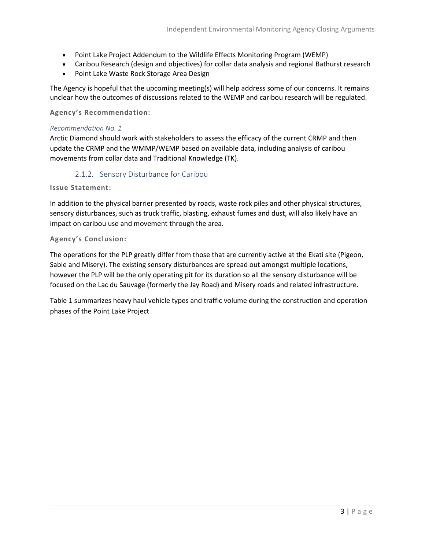- Point Lake Project Addendum to the Wildlife Effects Monitoring Program (WEMP)
- Caribou Research (design and objectives) for collar data analysis and regional Bathurst research
- Point Lake Waste Rock Storage Area Design

The Agency is hopeful that the upcoming meeting(s) will help address some of our concerns. It remains unclear how the outcomes of discussions related to the WEMP and caribou research will be regulated.

**Agency's Recommendation:**

#### *Recommendation No. 1*

Arctic Diamond should work with stakeholders to assess the efficacy of the current CRMP and then update the CRMP and the WMMP/WEMP based on available data, including analysis of caribou movements from collar data and Traditional Knowledge (TK).

#### 2.1.2. Sensory Disturbance for Caribou

<span id="page-4-0"></span>**Issue Statement:**

In addition to the physical barrier presented by roads, waste rock piles and other physical structures, sensory disturbances, such as truck traffic, blasting, exhaust fumes and dust, will also likely have an impact on caribou use and movement through the area.

#### **Agency's Conclusion:**

The operations for the PLP greatly differ from those that are currently active at the Ekati site (Pigeon, Sable and Misery). The existing sensory disturbances are spread out amongst multiple locations, however the PLP will be the only operating pit for its duration so all the sensory disturbance will be focused on the Lac du Sauvage (formerly the Jay Road) and Misery roads and related infrastructure.

Table 1 summarizes heavy haul vehicle types and traffic volume during the construction and operation phases of the Point Lake Project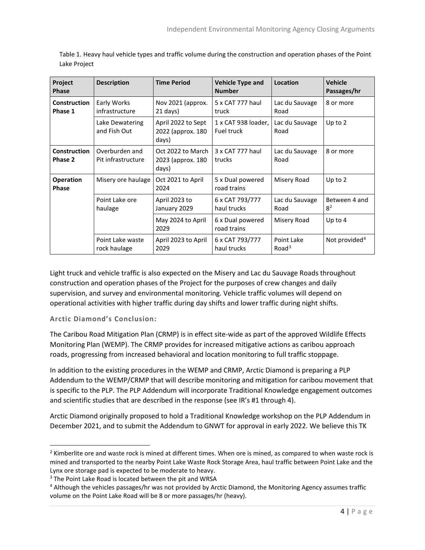| Project<br><b>Phase</b>          | <b>Description</b>                   | <b>Time Period</b>                               | <b>Vehicle Type and</b><br><b>Number</b> | Location                        | <b>Vehicle</b><br>Passages/hr   |
|----------------------------------|--------------------------------------|--------------------------------------------------|------------------------------------------|---------------------------------|---------------------------------|
| <b>Construction</b><br>Phase 1   | Early Works<br>infrastructure        | Nov 2021 (approx.<br>21 days)                    | 5 x CAT 777 haul<br>truck                | Lac du Sauvage<br>Road          | 8 or more                       |
|                                  | Lake Dewatering<br>and Fish Out      | April 2022 to Sept<br>2022 (approx. 180<br>days) | 1 x CAT 938 loader,<br>Fuel truck        | Lac du Sauvage<br>Road          | Up to 2                         |
| <b>Construction</b><br>Phase 2   | Overburden and<br>Pit infrastructure | Oct 2022 to March<br>2023 (approx. 180<br>days)  | 3 x CAT 777 haul<br>trucks               | Lac du Sauvage<br>Road          | 8 or more                       |
| <b>Operation</b><br><b>Phase</b> | Misery ore haulage                   | Oct 2021 to April<br>2024                        | 5 x Dual powered<br>road trains          | Misery Road                     | Up to 2                         |
|                                  | Point Lake ore<br>haulage            | April 2023 to<br>January 2029                    | 6 x CAT 793/777<br>haul trucks           | Lac du Sauvage<br>Road          | Between 4 and<br>8 <sup>2</sup> |
|                                  |                                      | May 2024 to April<br>2029                        | 6 x Dual powered<br>road trains          | Misery Road                     | Up to $4$                       |
|                                  | Point Lake waste<br>rock haulage     | April 2023 to April<br>2029                      | 6 x CAT 793/777<br>haul trucks           | Point Lake<br>Road <sup>3</sup> | Not provided <sup>4</sup>       |

Table 1. Heavy haul vehicle types and traffic volume during the construction and operation phases of the Point Lake Project

Light truck and vehicle traffic is also expected on the Misery and Lac du Sauvage Roads throughout construction and operation phases of the Project for the purposes of crew changes and daily supervision, and survey and environmental monitoring. Vehicle traffic volumes will depend on operational activities with higher traffic during day shifts and lower traffic during night shifts.

**Arctic Diamond's Conclusion:**

The Caribou Road Mitigation Plan (CRMP) is in effect site-wide as part of the approved Wildlife Effects Monitoring Plan (WEMP). The CRMP provides for increased mitigative actions as caribou approach roads, progressing from increased behavioral and location monitoring to full traffic stoppage.

In addition to the existing procedures in the WEMP and CRMP, Arctic Diamond is preparing a PLP Addendum to the WEMP/CRMP that will describe monitoring and mitigation for caribou movement that is specific to the PLP. The PLP Addendum will incorporate Traditional Knowledge engagement outcomes and scientific studies that are described in the response (see IR's #1 through 4).

Arctic Diamond originally proposed to hold a Traditional Knowledge workshop on the PLP Addendum in December 2021, and to submit the Addendum to GNWT for approval in early 2022. We believe this TK

<span id="page-5-0"></span><sup>&</sup>lt;sup>2</sup> Kimberlite ore and waste rock is mined at different times. When ore is mined, as compared to when waste rock is mined and transported to the nearby Point Lake Waste Rock Storage Area, haul traffic between Point Lake and the Lynx ore storage pad is expected to be moderate to heavy.

<span id="page-5-1"></span><sup>&</sup>lt;sup>3</sup> The Point Lake Road is located between the pit and WRSA

<span id="page-5-2"></span><sup>4</sup> Although the vehicles passages/hr was not provided by Arctic Diamond, the Monitoring Agency assumes traffic volume on the Point Lake Road will be 8 or more passages/hr (heavy).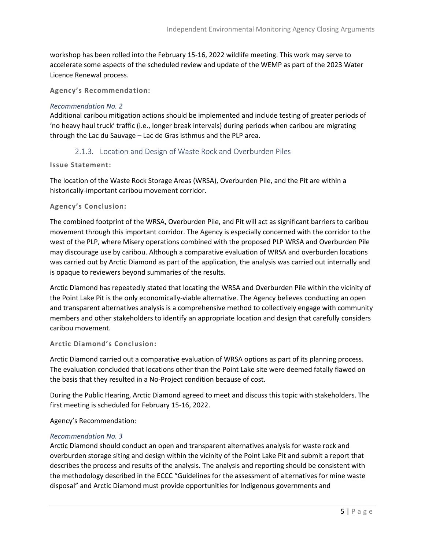workshop has been rolled into the February 15-16, 2022 wildlife meeting. This work may serve to accelerate some aspects of the scheduled review and update of the WEMP as part of the 2023 Water Licence Renewal process.

**Agency's Recommendation:**

#### *Recommendation No. 2*

Additional caribou mitigation actions should be implemented and include testing of greater periods of 'no heavy haul truck' traffic (i.e., longer break intervals) during periods when caribou are migrating through the Lac du Sauvage – Lac de Gras isthmus and the PLP area.

#### 2.1.3. Location and Design of Waste Rock and Overburden Piles

#### <span id="page-6-0"></span>**Issue Statement:**

The location of the Waste Rock Storage Areas (WRSA), Overburden Pile, and the Pit are within a historically-important caribou movement corridor.

#### **Agency's Conclusion:**

The combined footprint of the WRSA, Overburden Pile, and Pit will act as significant barriers to caribou movement through this important corridor. The Agency is especially concerned with the corridor to the west of the PLP, where Misery operations combined with the proposed PLP WRSA and Overburden Pile may discourage use by caribou. Although a comparative evaluation of WRSA and overburden locations was carried out by Arctic Diamond as part of the application, the analysis was carried out internally and is opaque to reviewers beyond summaries of the results.

Arctic Diamond has repeatedly stated that locating the WRSA and Overburden Pile within the vicinity of the Point Lake Pit is the only economically-viable alternative. The Agency believes conducting an open and transparent alternatives analysis is a comprehensive method to collectively engage with community members and other stakeholders to identify an appropriate location and design that carefully considers caribou movement.

#### **Arctic Diamond's Conclusion:**

Arctic Diamond carried out a comparative evaluation of WRSA options as part of its planning process. The evaluation concluded that locations other than the Point Lake site were deemed fatally flawed on the basis that they resulted in a No-Project condition because of cost.

During the Public Hearing, Arctic Diamond agreed to meet and discuss this topic with stakeholders. The first meeting is scheduled for February 15-16, 2022.

Agency's Recommendation:

#### *Recommendation No. 3*

Arctic Diamond should conduct an open and transparent alternatives analysis for waste rock and overburden storage siting and design within the vicinity of the Point Lake Pit and submit a report that describes the process and results of the analysis. The analysis and reporting should be consistent with the methodology described in the ECCC "Guidelines for the assessment of alternatives for mine waste disposal" and Arctic Diamond must provide opportunities for Indigenous governments and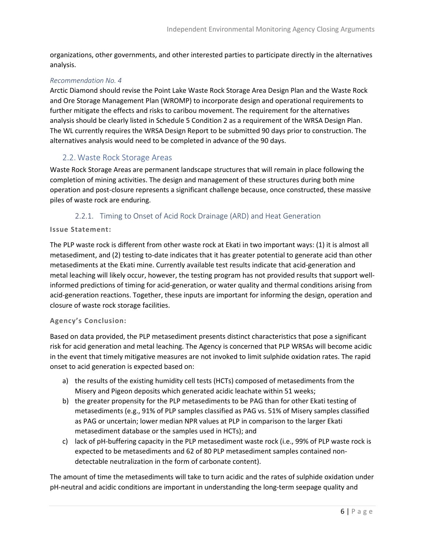organizations, other governments, and other interested parties to participate directly in the alternatives analysis.

#### *Recommendation No. 4*

Arctic Diamond should revise the Point Lake Waste Rock Storage Area Design Plan and the Waste Rock and Ore Storage Management Plan (WROMP) to incorporate design and operational requirements to further mitigate the effects and risks to caribou movement. The requirement for the alternatives analysis should be clearly listed in Schedule 5 Condition 2 as a requirement of the WRSA Design Plan. The WL currently requires the WRSA Design Report to be submitted 90 days prior to construction. The alternatives analysis would need to be completed in advance of the 90 days.

#### <span id="page-7-0"></span>2.2. Waste Rock Storage Areas

Waste Rock Storage Areas are permanent landscape structures that will remain in place following the completion of mining activities. The design and management of these structures during both mine operation and post-closure represents a significant challenge because, once constructed, these massive piles of waste rock are enduring.

#### 2.2.1. Timing to Onset of Acid Rock Drainage (ARD) and Heat Generation

#### <span id="page-7-1"></span>**Issue Statement:**

The PLP waste rock is different from other waste rock at Ekati in two important ways: (1) it is almost all metasediment, and (2) testing to-date indicates that it has greater potential to generate acid than other metasediments at the Ekati mine. Currently available test results indicate that acid-generation and metal leaching will likely occur, however, the testing program has not provided results that support wellinformed predictions of timing for acid-generation, or water quality and thermal conditions arising from acid-generation reactions. Together, these inputs are important for informing the design, operation and closure of waste rock storage facilities.

#### **Agency's Conclusion:**

Based on data provided, the PLP metasediment presents distinct characteristics that pose a significant risk for acid generation and metal leaching. The Agency is concerned that PLP WRSAs will become acidic in the event that timely mitigative measures are not invoked to limit sulphide oxidation rates. The rapid onset to acid generation is expected based on:

- a) the results of the existing humidity cell tests (HCTs) composed of metasediments from the Misery and Pigeon deposits which generated acidic leachate within 51 weeks;
- b) the greater propensity for the PLP metasediments to be PAG than for other Ekati testing of metasediments (e.g., 91% of PLP samples classified as PAG vs. 51% of Misery samples classified as PAG or uncertain; lower median NPR values at PLP in comparison to the larger Ekati metasediment database or the samples used in HCTs); and
- c) lack of pH-buffering capacity in the PLP metasediment waste rock (i.e., 99% of PLP waste rock is expected to be metasediments and 62 of 80 PLP metasediment samples contained nondetectable neutralization in the form of carbonate content).

The amount of time the metasediments will take to turn acidic and the rates of sulphide oxidation under pH-neutral and acidic conditions are important in understanding the long-term seepage quality and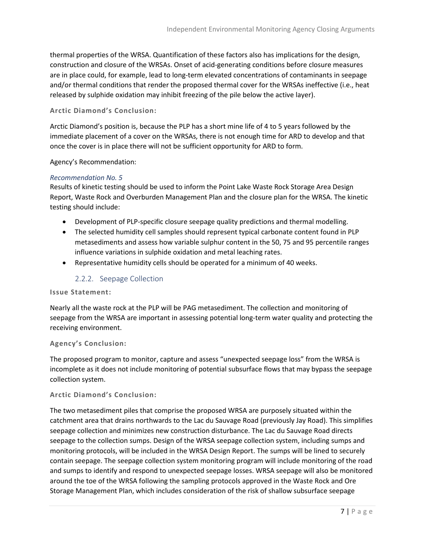thermal properties of the WRSA. Quantification of these factors also has implications for the design, construction and closure of the WRSAs. Onset of acid-generating conditions before closure measures are in place could, for example, lead to long-term elevated concentrations of contaminants in seepage and/or thermal conditions that render the proposed thermal cover for the WRSAs ineffective (i.e., heat released by sulphide oxidation may inhibit freezing of the pile below the active layer).

#### **Arctic Diamond's Conclusion:**

Arctic Diamond's position is, because the PLP has a short mine life of 4 to 5 years followed by the immediate placement of a cover on the WRSAs, there is not enough time for ARD to develop and that once the cover is in place there will not be sufficient opportunity for ARD to form.

Agency's Recommendation:

#### *Recommendation No. 5*

Results of kinetic testing should be used to inform the Point Lake Waste Rock Storage Area Design Report, Waste Rock and Overburden Management Plan and the closure plan for the WRSA. The kinetic testing should include:

- Development of PLP-specific closure seepage quality predictions and thermal modelling.
- The selected humidity cell samples should represent typical carbonate content found in PLP metasediments and assess how variable sulphur content in the 50, 75 and 95 percentile ranges influence variations in sulphide oxidation and metal leaching rates.
- Representative humidity cells should be operated for a minimum of 40 weeks.

#### 2.2.2. Seepage Collection

#### <span id="page-8-0"></span>**Issue Statement:**

Nearly all the waste rock at the PLP will be PAG metasediment. The collection and monitoring of seepage from the WRSA are important in assessing potential long-term water quality and protecting the receiving environment.

#### **Agency's Conclusion:**

The proposed program to monitor, capture and assess "unexpected seepage loss" from the WRSA is incomplete as it does not include monitoring of potential subsurface flows that may bypass the seepage collection system.

#### **Arctic Diamond's Conclusion:**

The two metasediment piles that comprise the proposed WRSA are purposely situated within the catchment area that drains northwards to the Lac du Sauvage Road (previously Jay Road). This simplifies seepage collection and minimizes new construction disturbance. The Lac du Sauvage Road directs seepage to the collection sumps. Design of the WRSA seepage collection system, including sumps and monitoring protocols, will be included in the WRSA Design Report. The sumps will be lined to securely contain seepage. The seepage collection system monitoring program will include monitoring of the road and sumps to identify and respond to unexpected seepage losses. WRSA seepage will also be monitored around the toe of the WRSA following the sampling protocols approved in the Waste Rock and Ore Storage Management Plan, which includes consideration of the risk of shallow subsurface seepage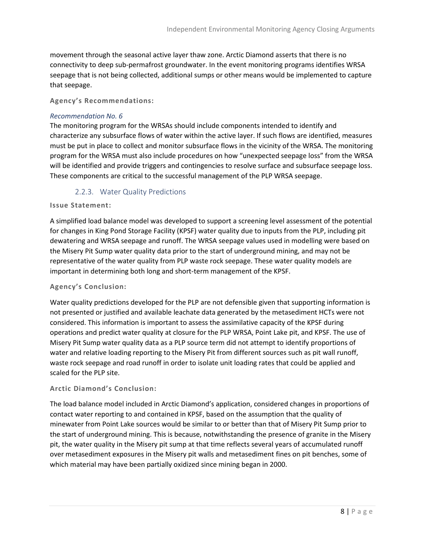movement through the seasonal active layer thaw zone. Arctic Diamond asserts that there is no connectivity to deep sub-permafrost groundwater. In the event monitoring programs identifies WRSA seepage that is not being collected, additional sumps or other means would be implemented to capture that seepage.

**Agency's Recommendations:**

#### *Recommendation No. 6*

The monitoring program for the WRSAs should include components intended to identify and characterize any subsurface flows of water within the active layer. If such flows are identified, measures must be put in place to collect and monitor subsurface flows in the vicinity of the WRSA. The monitoring program for the WRSA must also include procedures on how "unexpected seepage loss" from the WRSA will be identified and provide triggers and contingencies to resolve surface and subsurface seepage loss. These components are critical to the successful management of the PLP WRSA seepage.

#### 2.2.3. Water Quality Predictions

#### <span id="page-9-0"></span>**Issue Statement:**

A simplified load balance model was developed to support a screening level assessment of the potential for changes in King Pond Storage Facility (KPSF) water quality due to inputs from the PLP, including pit dewatering and WRSA seepage and runoff. The WRSA seepage values used in modelling were based on the Misery Pit Sump water quality data prior to the start of underground mining, and may not be representative of the water quality from PLP waste rock seepage. These water quality models are important in determining both long and short-term management of the KPSF.

#### **Agency's Conclusion:**

Water quality predictions developed for the PLP are not defensible given that supporting information is not presented or justified and available leachate data generated by the metasediment HCTs were not considered. This information is important to assess the assimilative capacity of the KPSF during operations and predict water quality at closure for the PLP WRSA, Point Lake pit, and KPSF. The use of Misery Pit Sump water quality data as a PLP source term did not attempt to identify proportions of water and relative loading reporting to the Misery Pit from different sources such as pit wall runoff, waste rock seepage and road runoff in order to isolate unit loading rates that could be applied and scaled for the PLP site.

#### **Arctic Diamond's Conclusion:**

The load balance model included in Arctic Diamond's application, considered changes in proportions of contact water reporting to and contained in KPSF, based on the assumption that the quality of minewater from Point Lake sources would be similar to or better than that of Misery Pit Sump prior to the start of underground mining. This is because, notwithstanding the presence of granite in the Misery pit, the water quality in the Misery pit sump at that time reflects several years of accumulated runoff over metasediment exposures in the Misery pit walls and metasediment fines on pit benches, some of which material may have been partially oxidized since mining began in 2000.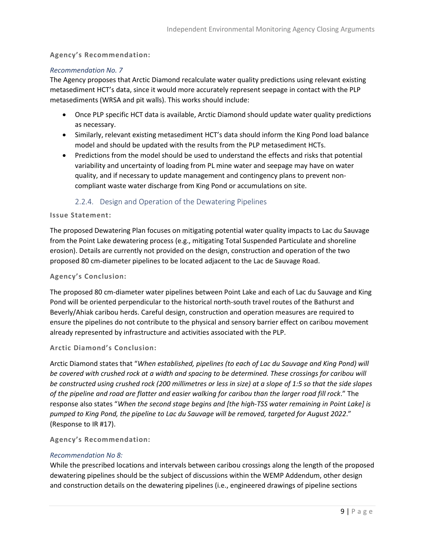#### **Agency's Recommendation:**

#### *Recommendation No. 7*

The Agency proposes that Arctic Diamond recalculate water quality predictions using relevant existing metasediment HCT's data, since it would more accurately represent seepage in contact with the PLP metasediments (WRSA and pit walls). This works should include:

- Once PLP specific HCT data is available, Arctic Diamond should update water quality predictions as necessary.
- Similarly, relevant existing metasediment HCT's data should inform the King Pond load balance model and should be updated with the results from the PLP metasediment HCTs.
- Predictions from the model should be used to understand the effects and risks that potential variability and uncertainty of loading from PL mine water and seepage may have on water quality, and if necessary to update management and contingency plans to prevent noncompliant waste water discharge from King Pond or accumulations on site.

#### 2.2.4. Design and Operation of the Dewatering Pipelines

#### <span id="page-10-0"></span>**Issue Statement:**

The proposed Dewatering Plan focuses on mitigating potential water quality impacts to Lac du Sauvage from the Point Lake dewatering process (e.g., mitigating Total Suspended Particulate and shoreline erosion). Details are currently not provided on the design, construction and operation of the two proposed 80 cm-diameter pipelines to be located adjacent to the Lac de Sauvage Road.

#### **Agency's Conclusion:**

The proposed 80 cm-diameter water pipelines between Point Lake and each of Lac du Sauvage and King Pond will be oriented perpendicular to the historical north-south travel routes of the Bathurst and Beverly/Ahiak caribou herds. Careful design, construction and operation measures are required to ensure the pipelines do not contribute to the physical and sensory barrier effect on caribou movement already represented by infrastructure and activities associated with the PLP.

#### **Arctic Diamond's Conclusion:**

Arctic Diamond states that "*When established, pipelines (to each of Lac du Sauvage and King Pond) will be covered with crushed rock at a width and spacing to be determined. These crossings for caribou will be constructed using crushed rock (200 millimetres or less in size) at a slope of 1:5 so that the side slopes of the pipeline and road are flatter and easier walking for caribou than the larger road fill rock*." The response also states "*When the second stage begins and [the high-TSS water remaining in Point Lake] is pumped to King Pond, the pipeline to Lac du Sauvage will be removed, targeted for August 2022*." (Response to IR #17).

#### **Agency's Recommendation:**

#### *Recommendation No 8:*

While the prescribed locations and intervals between caribou crossings along the length of the proposed dewatering pipelines should be the subject of discussions within the WEMP Addendum, other design and construction details on the dewatering pipelines (i.e., engineered drawings of pipeline sections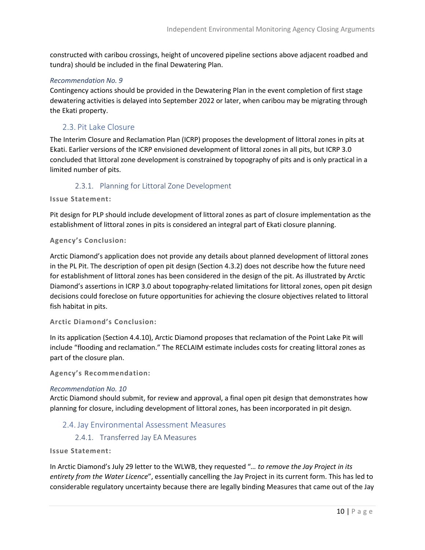constructed with caribou crossings, height of uncovered pipeline sections above adjacent roadbed and tundra) should be included in the final Dewatering Plan.

#### *Recommendation No. 9*

Contingency actions should be provided in the Dewatering Plan in the event completion of first stage dewatering activities is delayed into September 2022 or later, when caribou may be migrating through the Ekati property.

#### <span id="page-11-0"></span>2.3. Pit Lake Closure

The Interim Closure and Reclamation Plan (ICRP) proposes the development of littoral zones in pits at Ekati. Earlier versions of the ICRP envisioned development of littoral zones in all pits, but ICRP 3.0 concluded that littoral zone development is constrained by topography of pits and is only practical in a limited number of pits.

#### 2.3.1. Planning for Littoral Zone Development

<span id="page-11-1"></span>**Issue Statement:**

Pit design for PLP should include development of littoral zones as part of closure implementation as the establishment of littoral zones in pits is considered an integral part of Ekati closure planning.

#### **Agency's Conclusion:**

Arctic Diamond's application does not provide any details about planned development of littoral zones in the PL Pit. The description of open pit design (Section 4.3.2) does not describe how the future need for establishment of littoral zones has been considered in the design of the pit. As illustrated by Arctic Diamond's assertions in ICRP 3.0 about topography-related limitations for littoral zones, open pit design decisions could foreclose on future opportunities for achieving the closure objectives related to littoral fish habitat in pits.

#### **Arctic Diamond's Conclusion:**

In its application (Section 4.4.10), Arctic Diamond proposes that reclamation of the Point Lake Pit will include "flooding and reclamation." The RECLAIM estimate includes costs for creating littoral zones as part of the closure plan.

**Agency's Recommendation:**

#### *Recommendation No. 10*

Arctic Diamond should submit, for review and approval, a final open pit design that demonstrates how planning for closure, including development of littoral zones, has been incorporated in pit design.

#### <span id="page-11-2"></span>2.4. Jay Environmental Assessment Measures

2.4.1. Transferred Jay EA Measures

<span id="page-11-3"></span>**Issue Statement:**

In Arctic Diamond's July 29 letter to the WLWB, they requested "*… to remove the Jay Project in its entirety from the Water Licence*", essentially cancelling the Jay Project in its current form. This has led to considerable regulatory uncertainty because there are legally binding Measures that came out of the Jay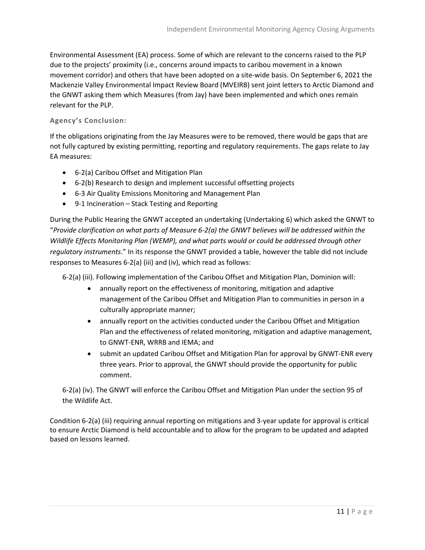Environmental Assessment (EA) process. Some of which are relevant to the concerns raised to the PLP due to the projects' proximity (i.e., concerns around impacts to caribou movement in a known movement corridor) and others that have been adopted on a site-wide basis. On September 6, 2021 the Mackenzie Valley Environmental Impact Review Board (MVEIRB) sent joint letters to Arctic Diamond and the GNWT asking them which Measures (from Jay) have been implemented and which ones remain relevant for the PLP.

#### **Agency's Conclusion:**

If the obligations originating from the Jay Measures were to be removed, there would be gaps that are not fully captured by existing permitting, reporting and regulatory requirements. The gaps relate to Jay EA measures:

- 6-2(a) Caribou Offset and Mitigation Plan
- 6-2(b) Research to design and implement successful offsetting projects
- 6-3 Air Quality Emissions Monitoring and Management Plan
- 9-1 Incineration Stack Testing and Reporting

During the Public Hearing the GNWT accepted an undertaking (Undertaking 6) which asked the GNWT to "*Provide clarification on what parts of Measure 6-2(a) the GNWT believes will be addressed within the Wildlife Effects Monitoring Plan (WEMP), and what parts would or could be addressed through other regulatory instruments*." In its response the GNWT provided a table, however the table did not include responses to Measures 6-2(a) (iii) and (iv), which read as follows:

6-2(a) (iii). Following implementation of the Caribou Offset and Mitigation Plan, Dominion will:

- annually report on the effectiveness of monitoring, mitigation and adaptive management of the Caribou Offset and Mitigation Plan to communities in person in a culturally appropriate manner;
- annually report on the activities conducted under the Caribou Offset and Mitigation Plan and the effectiveness of related monitoring, mitigation and adaptive management, to GNWT-ENR, WRRB and IEMA; and
- submit an updated Caribou Offset and Mitigation Plan for approval by GNWT-ENR every three years. Prior to approval, the GNWT should provide the opportunity for public comment.

6-2(a) (iv). The GNWT will enforce the Caribou Offset and Mitigation Plan under the section 95 of the Wildlife Act.

Condition 6-2(a) (iii) requiring annual reporting on mitigations and 3-year update for approval is critical to ensure Arctic Diamond is held accountable and to allow for the program to be updated and adapted based on lessons learned.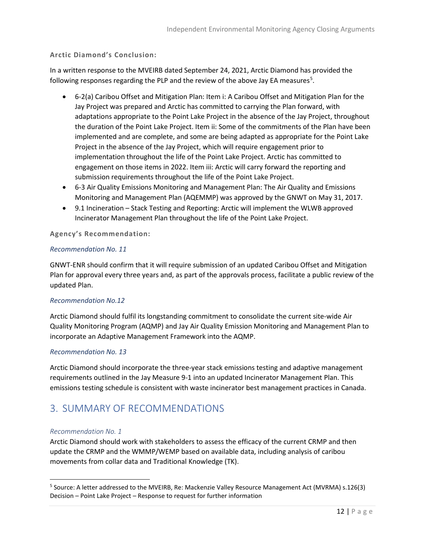#### **Arctic Diamond's Conclusion:**

In a written response to the MVEIRB dated September 24, 2021, Arctic Diamond has provided the following responses regarding the PLP and the review of the above Jay EA measures<sup>[5](#page-13-1)</sup>.

- 6-2(a) Caribou Offset and Mitigation Plan: Item i: A Caribou Offset and Mitigation Plan for the Jay Project was prepared and Arctic has committed to carrying the Plan forward, with adaptations appropriate to the Point Lake Project in the absence of the Jay Project, throughout the duration of the Point Lake Project. Item ii: Some of the commitments of the Plan have been implemented and are complete, and some are being adapted as appropriate for the Point Lake Project in the absence of the Jay Project, which will require engagement prior to implementation throughout the life of the Point Lake Project. Arctic has committed to engagement on those items in 2022. Item iii: Arctic will carry forward the reporting and submission requirements throughout the life of the Point Lake Project.
- 6-3 Air Quality Emissions Monitoring and Management Plan: The Air Quality and Emissions Monitoring and Management Plan (AQEMMP) was approved by the GNWT on May 31, 2017.
- 9.1 Incineration Stack Testing and Reporting: Arctic will implement the WLWB approved Incinerator Management Plan throughout the life of the Point Lake Project.

#### **Agency's Recommendation:**

#### *Recommendation No. 11*

GNWT-ENR should confirm that it will require submission of an updated Caribou Offset and Mitigation Plan for approval every three years and, as part of the approvals process, facilitate a public review of the updated Plan.

#### *Recommendation No.12*

Arctic Diamond should fulfil its longstanding commitment to consolidate the current site-wide Air Quality Monitoring Program (AQMP) and Jay Air Quality Emission Monitoring and Management Plan to incorporate an Adaptive Management Framework into the AQMP.

#### *Recommendation No. 13*

Arctic Diamond should incorporate the three-year stack emissions testing and adaptive management requirements outlined in the Jay Measure 9-1 into an updated Incinerator Management Plan. This emissions testing schedule is consistent with waste incinerator best management practices in Canada.

### <span id="page-13-0"></span>3. SUMMARY OF RECOMMENDATIONS

#### *Recommendation No. 1*

Arctic Diamond should work with stakeholders to assess the efficacy of the current CRMP and then update the CRMP and the WMMP/WEMP based on available data, including analysis of caribou movements from collar data and Traditional Knowledge (TK).

<span id="page-13-1"></span><sup>5</sup> Source: A letter addressed to the MVEIRB, Re: Mackenzie Valley Resource Management Act (MVRMA) s.126(3) Decision – Point Lake Project – Response to request for further information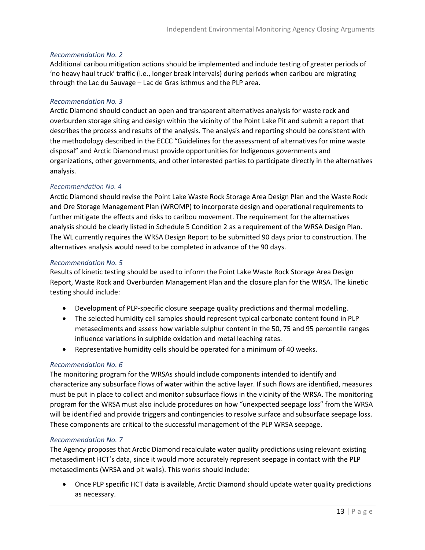#### *Recommendation No. 2*

Additional caribou mitigation actions should be implemented and include testing of greater periods of 'no heavy haul truck' traffic (i.e., longer break intervals) during periods when caribou are migrating through the Lac du Sauvage – Lac de Gras isthmus and the PLP area.

#### *Recommendation No. 3*

Arctic Diamond should conduct an open and transparent alternatives analysis for waste rock and overburden storage siting and design within the vicinity of the Point Lake Pit and submit a report that describes the process and results of the analysis. The analysis and reporting should be consistent with the methodology described in the ECCC "Guidelines for the assessment of alternatives for mine waste disposal" and Arctic Diamond must provide opportunities for Indigenous governments and organizations, other governments, and other interested parties to participate directly in the alternatives analysis.

#### *Recommendation No. 4*

Arctic Diamond should revise the Point Lake Waste Rock Storage Area Design Plan and the Waste Rock and Ore Storage Management Plan (WROMP) to incorporate design and operational requirements to further mitigate the effects and risks to caribou movement. The requirement for the alternatives analysis should be clearly listed in Schedule 5 Condition 2 as a requirement of the WRSA Design Plan. The WL currently requires the WRSA Design Report to be submitted 90 days prior to construction. The alternatives analysis would need to be completed in advance of the 90 days.

#### *Recommendation No. 5*

Results of kinetic testing should be used to inform the Point Lake Waste Rock Storage Area Design Report, Waste Rock and Overburden Management Plan and the closure plan for the WRSA. The kinetic testing should include:

- Development of PLP-specific closure seepage quality predictions and thermal modelling.
- The selected humidity cell samples should represent typical carbonate content found in PLP metasediments and assess how variable sulphur content in the 50, 75 and 95 percentile ranges influence variations in sulphide oxidation and metal leaching rates.
- Representative humidity cells should be operated for a minimum of 40 weeks.

#### *Recommendation No. 6*

The monitoring program for the WRSAs should include components intended to identify and characterize any subsurface flows of water within the active layer. If such flows are identified, measures must be put in place to collect and monitor subsurface flows in the vicinity of the WRSA. The monitoring program for the WRSA must also include procedures on how "unexpected seepage loss" from the WRSA will be identified and provide triggers and contingencies to resolve surface and subsurface seepage loss. These components are critical to the successful management of the PLP WRSA seepage.

#### *Recommendation No. 7*

The Agency proposes that Arctic Diamond recalculate water quality predictions using relevant existing metasediment HCT's data, since it would more accurately represent seepage in contact with the PLP metasediments (WRSA and pit walls). This works should include:

• Once PLP specific HCT data is available, Arctic Diamond should update water quality predictions as necessary.